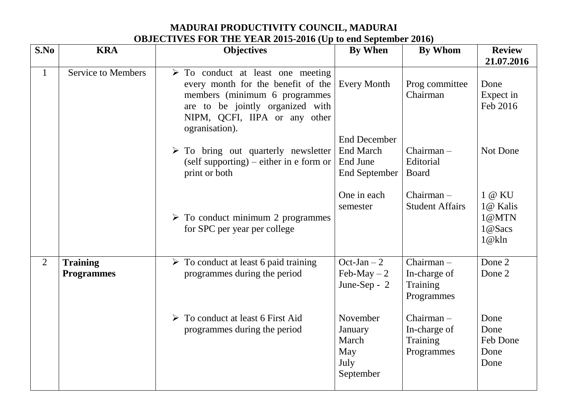**MADURAI PRODUCTIVITY COUNCIL, MADURAI OBJECTIVES FOR THE YEAR 2015-2016 (Up to end September 2016)**

| S.No           | <b>KRA</b>                           | <b>Objectives</b>                                                                                                                                                                                              | <b>By When</b>                                                              | <b>By Whom</b>                                         | <b>Review</b>                                  |
|----------------|--------------------------------------|----------------------------------------------------------------------------------------------------------------------------------------------------------------------------------------------------------------|-----------------------------------------------------------------------------|--------------------------------------------------------|------------------------------------------------|
|                |                                      |                                                                                                                                                                                                                |                                                                             |                                                        | 21.07.2016                                     |
| $\mathbf{1}$   | <b>Service to Members</b>            | $\triangleright$ To conduct at least one meeting<br>every month for the benefit of the<br>members (minimum 6 programmes<br>are to be jointly organized with<br>NIPM, QCFI, IIPA or any other<br>ogranisation). | <b>Every Month</b>                                                          | Prog committee<br>Chairman                             | Done<br>Expect in<br>Feb 2016                  |
|                |                                      | $\triangleright$ To bring out quarterly newsletter<br>$(self supporting)$ – either in e form or<br>print or both                                                                                               | <b>End December</b><br><b>End March</b><br>End June<br><b>End September</b> | $Chairman -$<br>Editorial<br><b>Board</b>              | Not Done                                       |
|                |                                      | $\triangleright$ To conduct minimum 2 programmes<br>for SPC per year per college                                                                                                                               | One in each<br>semester                                                     | Chairman-<br><b>Student Affairs</b>                    | 1 @ KU<br>1@ Kalis<br>1@MTN<br>1@Sacs<br>1@kln |
| $\overline{2}$ | <b>Training</b><br><b>Programmes</b> | $\triangleright$ To conduct at least 6 paid training<br>programmes during the period                                                                                                                           | Oct-Jan $-2$<br>Feb-May $-2$<br>June-Sep - 2                                | $Chairman -$<br>In-charge of<br>Training<br>Programmes | Done 2<br>Done 2                               |
|                |                                      | $\triangleright$ To conduct at least 6 First Aid<br>programmes during the period                                                                                                                               | November<br>January<br>March<br>May<br>July<br>September                    | $Chairman -$<br>In-charge of<br>Training<br>Programmes | Done<br>Done<br>Feb Done<br>Done<br>Done       |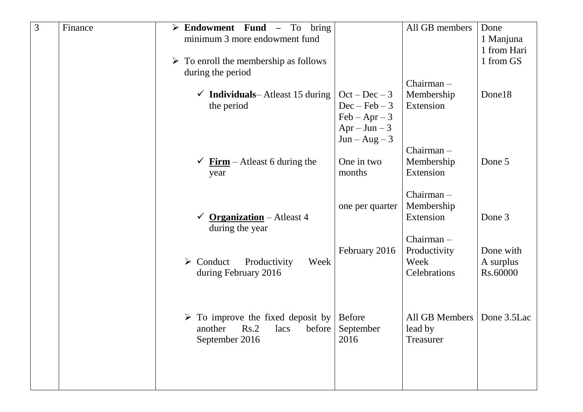| 3 | Finance | $\triangleright$ Endowment Fund –<br>bring<br>To       |                               | All GB members | Done        |
|---|---------|--------------------------------------------------------|-------------------------------|----------------|-------------|
|   |         | minimum 3 more endowment fund                          |                               |                | 1 Manjuna   |
|   |         |                                                        |                               |                | 1 from Hari |
|   |         | $\triangleright$ To enroll the membership as follows   |                               |                | 1 from GS   |
|   |         | during the period                                      |                               | Chairman-      |             |
|   |         | <b>Individuals</b> — Atleast 15 during<br>$\checkmark$ | $Oct - Dec - 3$               | Membership     | Done18      |
|   |         | the period                                             | $Dec - Feb - 3$               | Extension      |             |
|   |         |                                                        | $\text{Feb} - \text{Apr} - 3$ |                |             |
|   |         |                                                        | $Apr - Jun - 3$               |                |             |
|   |         |                                                        | $Jun - Aug - 3$               |                |             |
|   |         |                                                        |                               | $Chairman -$   |             |
|   |         | $Firm - At least 6 during the$                         | One in two                    | Membership     | Done 5      |
|   |         | year                                                   | months                        | Extension      |             |
|   |         |                                                        |                               | Chairman-      |             |
|   |         |                                                        | one per quarter               | Membership     |             |
|   |         | <b>Organization</b> – Atleast 4                        |                               | Extension      | Done 3      |
|   |         | during the year                                        |                               |                |             |
|   |         |                                                        |                               | Chairman-      |             |
|   |         |                                                        | February 2016                 | Productivity   | Done with   |
|   |         | $\triangleright$ Conduct<br>Week<br>Productivity       |                               | Week           | A surplus   |
|   |         | during February 2016                                   |                               | Celebrations   | Rs.60000    |
|   |         |                                                        |                               |                |             |
|   |         |                                                        |                               |                |             |
|   |         | $\triangleright$ To improve the fixed deposit by       | <b>Before</b>                 | All GB Members | Done 3.5Lac |
|   |         | another Rs.2 lacs before September                     |                               | lead by        |             |
|   |         | September 2016                                         | 2016                          | Treasurer      |             |
|   |         |                                                        |                               |                |             |
|   |         |                                                        |                               |                |             |
|   |         |                                                        |                               |                |             |
|   |         |                                                        |                               |                |             |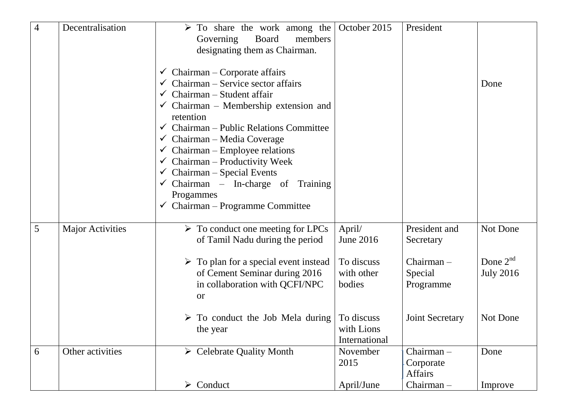| $\overline{4}$ | Decentralisation        | $\triangleright$ To share the work among the          | October 2015  | President              |                  |
|----------------|-------------------------|-------------------------------------------------------|---------------|------------------------|------------------|
|                |                         | <b>Board</b><br>members<br>Governing                  |               |                        |                  |
|                |                         | designating them as Chairman.                         |               |                        |                  |
|                |                         |                                                       |               |                        |                  |
|                |                         | $\checkmark$ Chairman – Corporate affairs             |               |                        |                  |
|                |                         | $\checkmark$ Chairman – Service sector affairs        |               |                        | Done             |
|                |                         | Chairman - Student affair<br>$\checkmark$             |               |                        |                  |
|                |                         | $\checkmark$ Chairman – Membership extension and      |               |                        |                  |
|                |                         | retention                                             |               |                        |                  |
|                |                         | Chairman – Public Relations Committee<br>$\checkmark$ |               |                        |                  |
|                |                         | $\checkmark$ Chairman – Media Coverage                |               |                        |                  |
|                |                         | $\checkmark$ Chairman – Employee relations            |               |                        |                  |
|                |                         | $\checkmark$ Chairman – Productivity Week             |               |                        |                  |
|                |                         | $\checkmark$ Chairman – Special Events                |               |                        |                  |
|                |                         | $\checkmark$ Chairman – In-charge of Training         |               |                        |                  |
|                |                         | Progammes                                             |               |                        |                  |
|                |                         | $\checkmark$ Chairman – Programme Committee           |               |                        |                  |
|                |                         |                                                       |               |                        |                  |
| 5              | <b>Major Activities</b> | $\triangleright$ To conduct one meeting for LPCs      | April/        | President and          | Not Done         |
|                |                         | of Tamil Nadu during the period                       | June 2016     | Secretary              |                  |
|                |                         |                                                       |               |                        |                  |
|                |                         | $\triangleright$ To plan for a special event instead  | To discuss    | $Chairman -$           | Done $2^{nd}$    |
|                |                         | of Cement Seminar during 2016                         | with other    | Special                | <b>July 2016</b> |
|                |                         | in collaboration with QCFI/NPC                        | bodies        | Programme              |                  |
|                |                         | <b>or</b>                                             |               |                        |                  |
|                |                         |                                                       |               |                        |                  |
|                |                         | $\triangleright$ To conduct the Job Mela during       | To discuss    | <b>Joint Secretary</b> | Not Done         |
|                |                         | the year                                              | with Lions    |                        |                  |
|                |                         |                                                       | International |                        |                  |
| 6              | Other activities        | $\triangleright$ Celebrate Quality Month              | November      | $Chairman -$           | Done             |
|                |                         |                                                       | 2015          | Corporate<br>Affairs   |                  |
|                |                         | $\triangleright$ Conduct                              | April/June    | Chairman-              | Improve          |
|                |                         |                                                       |               |                        |                  |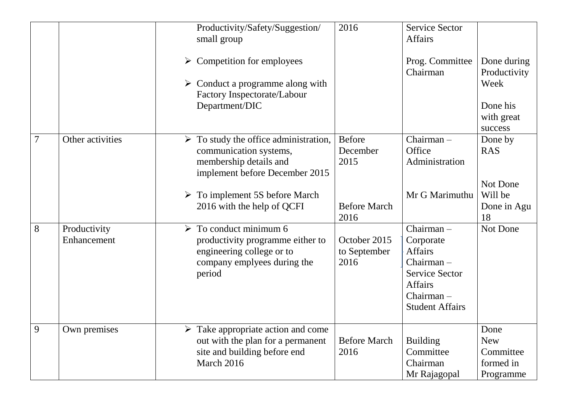|                |                             | Productivity/Safety/Suggestion/<br>small group<br>$\triangleright$ Competition for employees<br>$\triangleright$ Conduct a programme along with<br>Factory Inspectorate/Labour<br>Department/DIC                          | 2016                                                             | <b>Service Sector</b><br><b>Affairs</b><br>Prog. Committee<br>Chairman                                                                  | Done during<br>Productivity<br>Week<br>Done his<br>with great<br>success |
|----------------|-----------------------------|---------------------------------------------------------------------------------------------------------------------------------------------------------------------------------------------------------------------------|------------------------------------------------------------------|-----------------------------------------------------------------------------------------------------------------------------------------|--------------------------------------------------------------------------|
| $\overline{7}$ | Other activities            | $\triangleright$ To study the office administration,<br>communication systems,<br>membership details and<br>implement before December 2015<br>$\triangleright$ To implement 5S before March<br>2016 with the help of QCFI | <b>Before</b><br>December<br>2015<br><b>Before March</b><br>2016 | Chairman-<br>Office<br>Administration<br>Mr G Marimuthu                                                                                 | Done by<br><b>RAS</b><br>Not Done<br>Will be<br>Done in Agu<br>18        |
| 8              | Productivity<br>Enhancement | To conduct minimum 6<br>$\blacktriangleright$<br>productivity programme either to<br>engineering college or to<br>company emplyees during the<br>period                                                                   | October 2015<br>to September<br>2016                             | Chairman-<br>Corporate<br><b>Affairs</b><br>Chairman-<br><b>Service Sector</b><br><b>Affairs</b><br>Chairman-<br><b>Student Affairs</b> | Not Done                                                                 |
| 9              | Own premises                | Take appropriate action and come<br>➤<br>out with the plan for a permanent<br>site and building before end<br>March 2016                                                                                                  | <b>Before March</b><br>2016                                      | <b>Building</b><br>Committee<br>Chairman<br>Mr Rajagopal                                                                                | Done<br><b>New</b><br>Committee<br>formed in<br>Programme                |